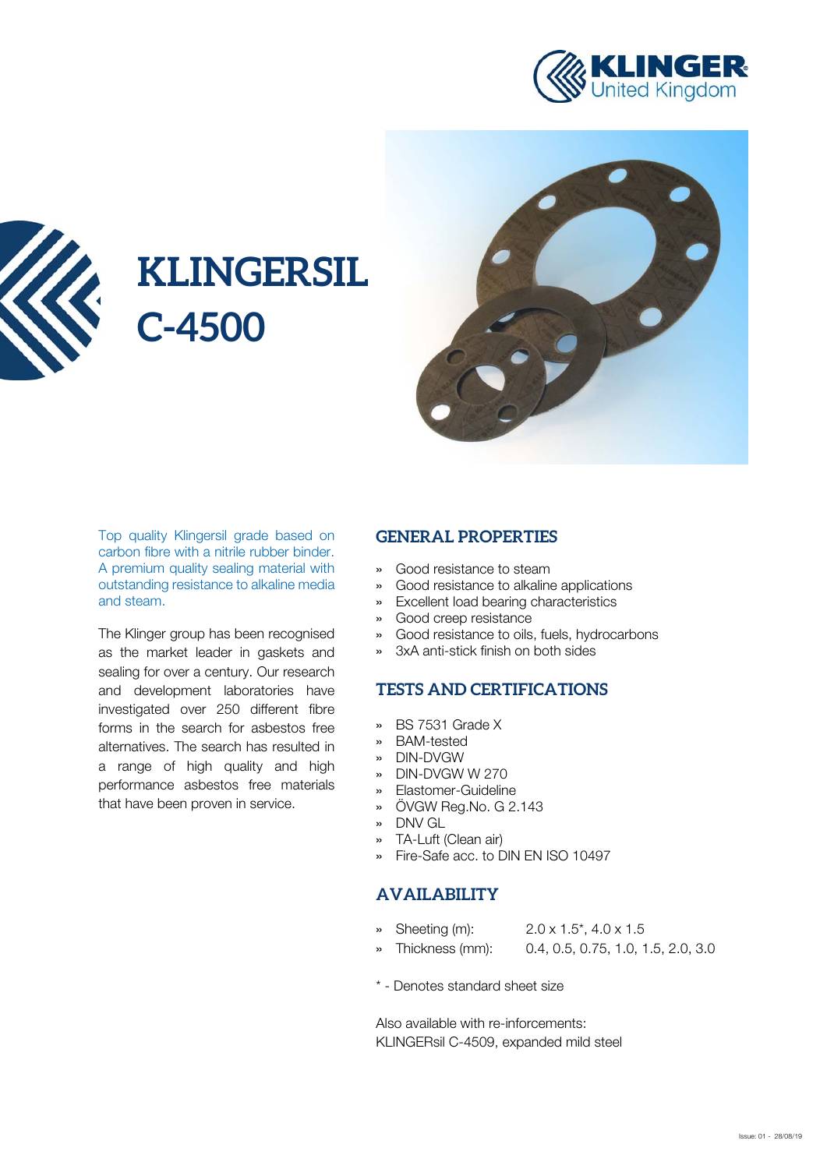



# **KLINGERSIL C-4500**



Top quality Klingersil grade based on carbon fibre with a nitrile rubber binder. A premium quality sealing material with outstanding resistance to alkaline media and steam.

The Klinger group has been recognised as the market leader in gaskets and sealing for over a century. Our research and development laboratories have investigated over 250 different fibre forms in the search for asbestos free alternatives. The search has resulted in a range of high quality and high performance asbestos free materials that have been proven in service.

#### **GENERAL PROPERTIES**

- » Good resistance to steam
- » Good resistance to alkaline applications
- » Excellent load bearing characteristics
- » Good creep resistance
- » Good resistance to oils, fuels, hydrocarbons
- » 3xA anti-stick finish on both sides

### **TESTS AND CERTIFICATIONS**

- » BS 7531 Grade X
- » BAM-tested
- » DIN-DVGW
- » DIN-DVGW W 270
- » Elastomer-Guideline
- » ÖVGW Reg.No. G 2.143
- » DNV GL
- » TA-Luft (Clean air)
- » Fire-Safe acc. to DIN EN ISO 10497

#### **AVAILABILITY**

- » Sheeting (m): 2.0 x 1.5\*, 4.0 x 1.5
- » Thickness (mm): 0.4, 0.5, 0.75, 1.0, 1.5, 2.0, 3.0
- \* Denotes standard sheet size

Also available with re-inforcements: KLINGERsil C-4509, expanded mild steel